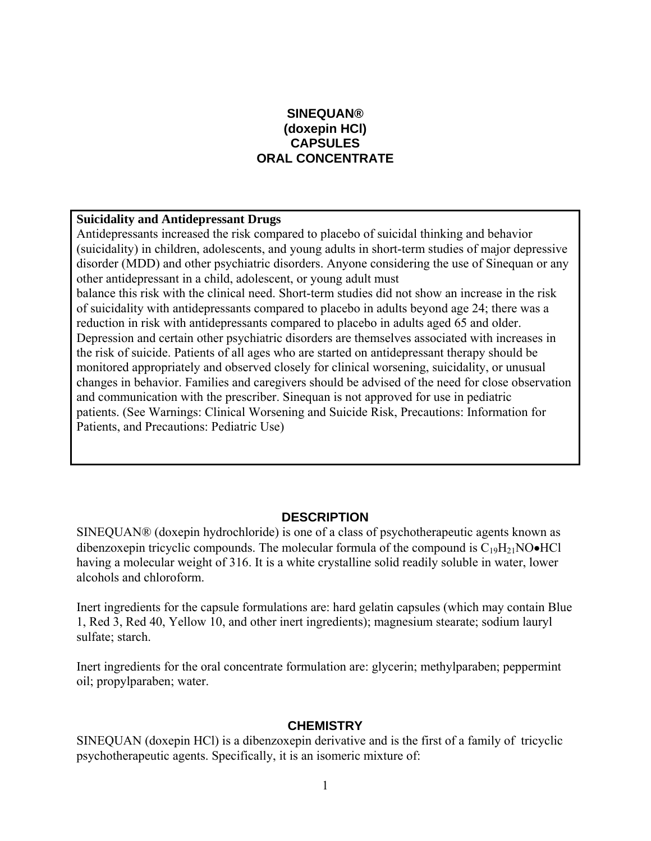## **SINEQUAN® (doxepin HCl) CAPSULES ORAL CONCENTRATE**

#### **Suicidality and Antidepressant Drugs**

Antidepressants increased the risk compared to placebo of suicidal thinking and behavior (suicidality) in children, adolescents, and young adults in short-term studies of major depressive disorder (MDD) and other psychiatric disorders. Anyone considering the use of Sinequan or any other antidepressant in a child, adolescent, or young adult must balance this risk with the clinical need. Short-term studies did not show an increase in the risk of suicidality with antidepressants compared to placebo in adults beyond age 24; there was a reduction in risk with antidepressants compared to placebo in adults aged 65 and older. Depression and certain other psychiatric disorders are themselves associated with increases in the risk of suicide. Patients of all ages who are started on antidepressant therapy should be monitored appropriately and observed closely for clinical worsening, suicidality, or unusual changes in behavior. Families and caregivers should be advised of the need for close observation and communication with the prescriber. Sinequan is not approved for use in pediatric patients. (See Warnings: Clinical Worsening and Suicide Risk, Precautions: Information for Patients, and Precautions: Pediatric Use)

## **DESCRIPTION**

SINEQUAN® (doxepin hydrochloride) is one of a class of psychotherapeutic agents known as dibenzoxepin tricyclic compounds. The molecular formula of the compound is  $C_1 \circ H_{21}NO \bullet HCl$ having a molecular weight of 316. It is a white crystalline solid readily soluble in water, lower alcohols and chloroform.

Inert ingredients for the capsule formulations are: hard gelatin capsules (which may contain Blue 1, Red 3, Red 40, Yellow 10, and other inert ingredients); magnesium stearate; sodium lauryl sulfate; starch.

Inert ingredients for the oral concentrate formulation are: glycerin; methylparaben; peppermint oil; propylparaben; water.

#### **CHEMISTRY**

SINEQUAN (doxepin HCl) is a dibenzoxepin derivative and is the first of a family of tricyclic psychotherapeutic agents. Specifically, it is an isomeric mixture of: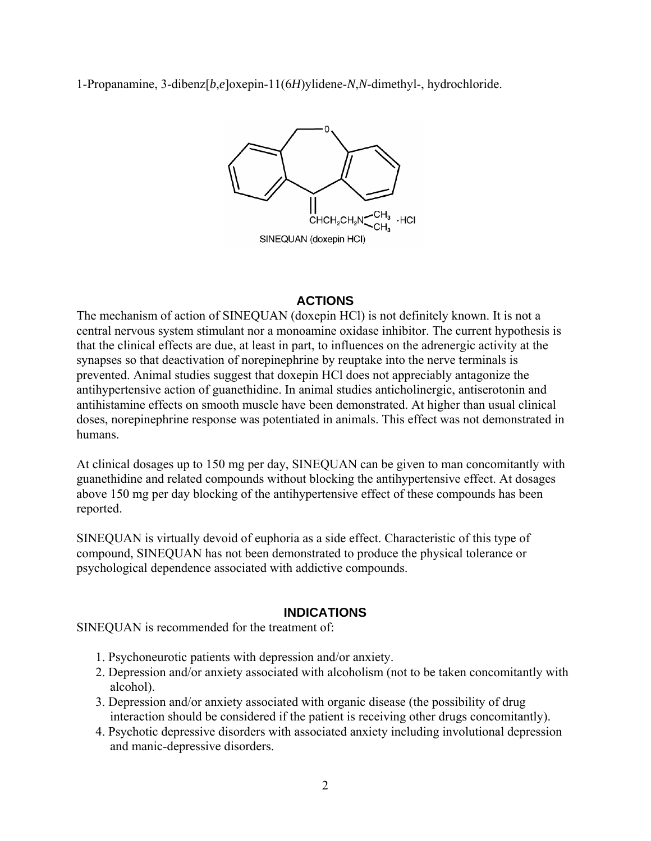1-Propanamine, 3-dibenz[*b*,*e*]oxepin-11(6*H*)ylidene-*N*,*N*-dimethyl-, hydrochloride.



# **ACTIONS**

The mechanism of action of SINEQUAN (doxepin HCl) is not definitely known. It is not a central nervous system stimulant nor a monoamine oxidase inhibitor. The current hypothesis is that the clinical effects are due, at least in part, to influences on the adrenergic activity at the synapses so that deactivation of norepinephrine by reuptake into the nerve terminals is prevented. Animal studies suggest that doxepin HCl does not appreciably antagonize the antihypertensive action of guanethidine. In animal studies anticholinergic, antiserotonin and antihistamine effects on smooth muscle have been demonstrated. At higher than usual clinical doses, norepinephrine response was potentiated in animals. This effect was not demonstrated in humans.

At clinical dosages up to 150 mg per day, SINEQUAN can be given to man concomitantly with guanethidine and related compounds without blocking the antihypertensive effect. At dosages above 150 mg per day blocking of the antihypertensive effect of these compounds has been reported.

SINEQUAN is virtually devoid of euphoria as a side effect. Characteristic of this type of compound, SINEQUAN has not been demonstrated to produce the physical tolerance or psychological dependence associated with addictive compounds.

# **INDICATIONS**

SINEQUAN is recommended for the treatment of:

- 1. Psychoneurotic patients with depression and/or anxiety.
- 2. Depression and/or anxiety associated with alcoholism (not to be taken concomitantly with alcohol).
- 3. Depression and/or anxiety associated with organic disease (the possibility of drug interaction should be considered if the patient is receiving other drugs concomitantly).
- 4. Psychotic depressive disorders with associated anxiety including involutional depression and manic-depressive disorders.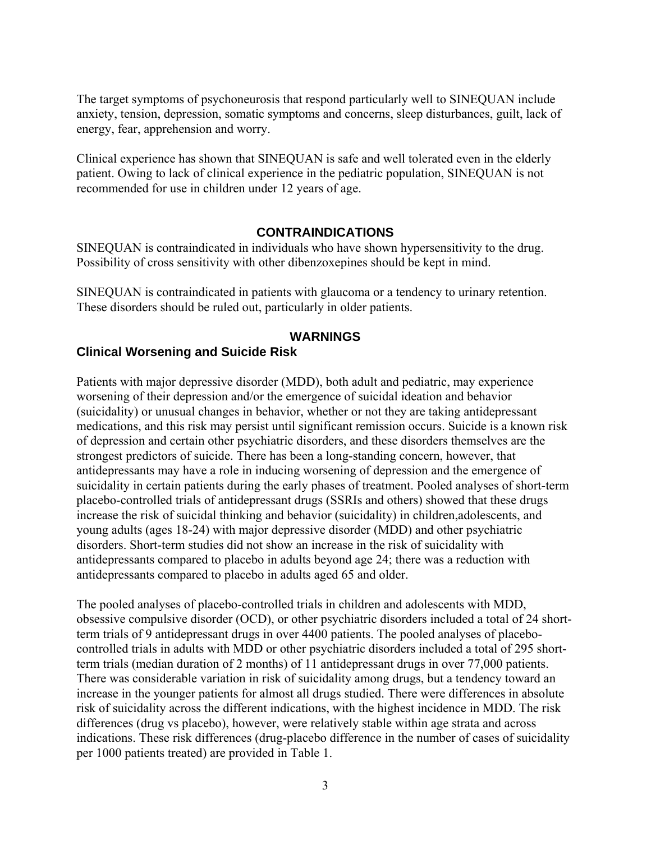The target symptoms of psychoneurosis that respond particularly well to SINEQUAN include anxiety, tension, depression, somatic symptoms and concerns, sleep disturbances, guilt, lack of energy, fear, apprehension and worry.

Clinical experience has shown that SINEQUAN is safe and well tolerated even in the elderly patient. Owing to lack of clinical experience in the pediatric population, SINEQUAN is not recommended for use in children under 12 years of age.

### **CONTRAINDICATIONS**

SINEQUAN is contraindicated in individuals who have shown hypersensitivity to the drug. Possibility of cross sensitivity with other dibenzoxepines should be kept in mind.

SINEQUAN is contraindicated in patients with glaucoma or a tendency to urinary retention. These disorders should be ruled out, particularly in older patients.

### **WARNINGS**

### **Clinical Worsening and Suicide Risk**

Patients with major depressive disorder (MDD), both adult and pediatric, may experience worsening of their depression and/or the emergence of suicidal ideation and behavior (suicidality) or unusual changes in behavior, whether or not they are taking antidepressant medications, and this risk may persist until significant remission occurs. Suicide is a known risk of depression and certain other psychiatric disorders, and these disorders themselves are the strongest predictors of suicide. There has been a long-standing concern, however, that antidepressants may have a role in inducing worsening of depression and the emergence of suicidality in certain patients during the early phases of treatment. Pooled analyses of short-term placebo-controlled trials of antidepressant drugs (SSRIs and others) showed that these drugs increase the risk of suicidal thinking and behavior (suicidality) in children,adolescents, and young adults (ages 18-24) with major depressive disorder (MDD) and other psychiatric disorders. Short-term studies did not show an increase in the risk of suicidality with antidepressants compared to placebo in adults beyond age 24; there was a reduction with antidepressants compared to placebo in adults aged 65 and older.

The pooled analyses of placebo-controlled trials in children and adolescents with MDD, obsessive compulsive disorder (OCD), or other psychiatric disorders included a total of 24 shortterm trials of 9 antidepressant drugs in over 4400 patients. The pooled analyses of placebocontrolled trials in adults with MDD or other psychiatric disorders included a total of 295 shortterm trials (median duration of 2 months) of 11 antidepressant drugs in over 77,000 patients. There was considerable variation in risk of suicidality among drugs, but a tendency toward an increase in the younger patients for almost all drugs studied. There were differences in absolute risk of suicidality across the different indications, with the highest incidence in MDD. The risk differences (drug vs placebo), however, were relatively stable within age strata and across indications. These risk differences (drug-placebo difference in the number of cases of suicidality per 1000 patients treated) are provided in Table 1.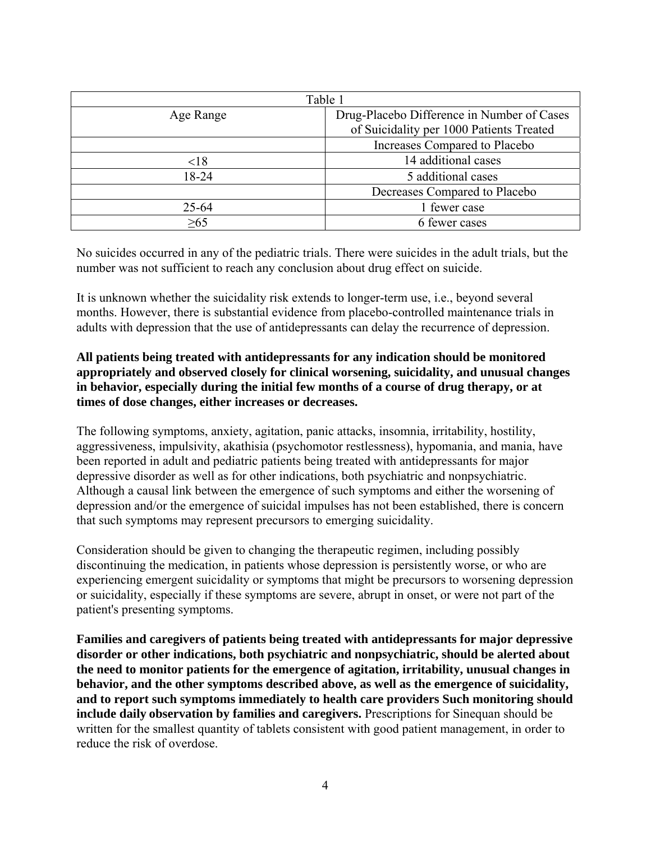| Table 1   |                                            |
|-----------|--------------------------------------------|
| Age Range | Drug-Placebo Difference in Number of Cases |
|           | of Suicidality per 1000 Patients Treated   |
|           | Increases Compared to Placebo              |
| < 18      | 14 additional cases                        |
| 18-24     | 5 additional cases                         |
|           | Decreases Compared to Placebo              |
| $25 - 64$ | 1 fewer case                               |
| >65       | 6 fewer cases                              |

No suicides occurred in any of the pediatric trials. There were suicides in the adult trials, but the number was not sufficient to reach any conclusion about drug effect on suicide.

It is unknown whether the suicidality risk extends to longer-term use, i.e., beyond several months. However, there is substantial evidence from placebo-controlled maintenance trials in adults with depression that the use of antidepressants can delay the recurrence of depression.

## **All patients being treated with antidepressants for any indication should be monitored appropriately and observed closely for clinical worsening, suicidality, and unusual changes in behavior, especially during the initial few months of a course of drug therapy, or at times of dose changes, either increases or decreases.**

The following symptoms, anxiety, agitation, panic attacks, insomnia, irritability, hostility, aggressiveness, impulsivity, akathisia (psychomotor restlessness), hypomania, and mania, have been reported in adult and pediatric patients being treated with antidepressants for major depressive disorder as well as for other indications, both psychiatric and nonpsychiatric. Although a causal link between the emergence of such symptoms and either the worsening of depression and/or the emergence of suicidal impulses has not been established, there is concern that such symptoms may represent precursors to emerging suicidality.

Consideration should be given to changing the therapeutic regimen, including possibly discontinuing the medication, in patients whose depression is persistently worse, or who are experiencing emergent suicidality or symptoms that might be precursors to worsening depression or suicidality, especially if these symptoms are severe, abrupt in onset, or were not part of the patient's presenting symptoms.

**Families and caregivers of patients being treated with antidepressants for major depressive disorder or other indications, both psychiatric and nonpsychiatric, should be alerted about the need to monitor patients for the emergence of agitation, irritability, unusual changes in behavior, and the other symptoms described above, as well as the emergence of suicidality, and to report such symptoms immediately to health care providers Such monitoring should include daily observation by families and caregivers.** Prescriptions for Sinequan should be written for the smallest quantity of tablets consistent with good patient management, in order to reduce the risk of overdose.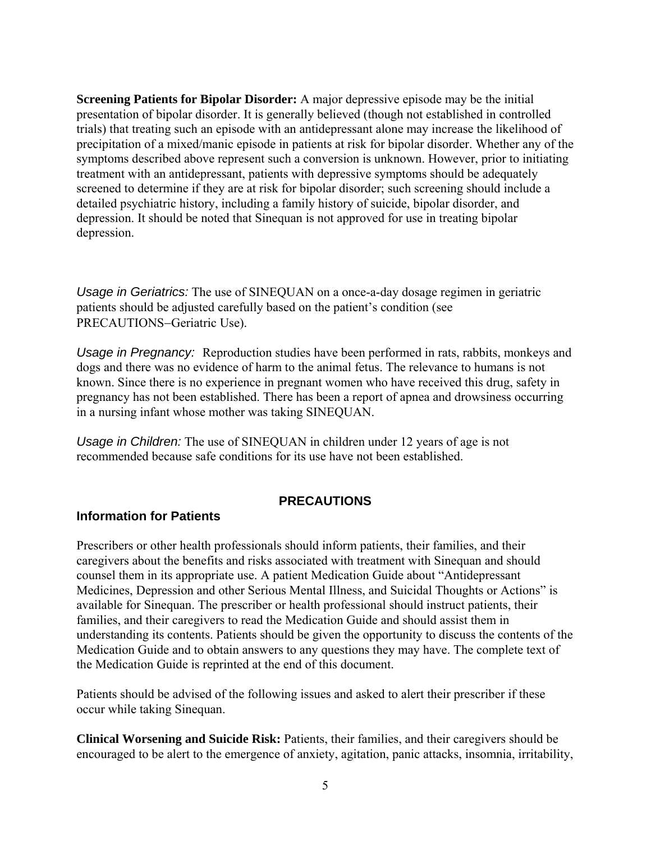**Screening Patients for Bipolar Disorder:** A major depressive episode may be the initial presentation of bipolar disorder. It is generally believed (though not established in controlled trials) that treating such an episode with an antidepressant alone may increase the likelihood of precipitation of a mixed/manic episode in patients at risk for bipolar disorder. Whether any of the symptoms described above represent such a conversion is unknown. However, prior to initiating treatment with an antidepressant, patients with depressive symptoms should be adequately screened to determine if they are at risk for bipolar disorder; such screening should include a detailed psychiatric history, including a family history of suicide, bipolar disorder, and depression. It should be noted that Sinequan is not approved for use in treating bipolar depression.

*Usage in Geriatrics:* The use of SINEQUAN on a once-a-day dosage regimen in geriatric patients should be adjusted carefully based on the patient's condition (see PRECAUTIONS−Geriatric Use).

*Usage in Pregnancy:* Reproduction studies have been performed in rats, rabbits, monkeys and dogs and there was no evidence of harm to the animal fetus. The relevance to humans is not known. Since there is no experience in pregnant women who have received this drug, safety in pregnancy has not been established. There has been a report of apnea and drowsiness occurring in a nursing infant whose mother was taking SINEQUAN.

*Usage in Children:* The use of SINEQUAN in children under 12 years of age is not recommended because safe conditions for its use have not been established.

## **PRECAUTIONS**

## **Information for Patients**

Prescribers or other health professionals should inform patients, their families, and their caregivers about the benefits and risks associated with treatment with Sinequan and should counsel them in its appropriate use. A patient Medication Guide about "Antidepressant Medicines, Depression and other Serious Mental Illness, and Suicidal Thoughts or Actions" is available for Sinequan. The prescriber or health professional should instruct patients, their families, and their caregivers to read the Medication Guide and should assist them in understanding its contents. Patients should be given the opportunity to discuss the contents of the Medication Guide and to obtain answers to any questions they may have. The complete text of the Medication Guide is reprinted at the end of this document.

Patients should be advised of the following issues and asked to alert their prescriber if these occur while taking Sinequan.

**Clinical Worsening and Suicide Risk:** Patients, their families, and their caregivers should be encouraged to be alert to the emergence of anxiety, agitation, panic attacks, insomnia, irritability,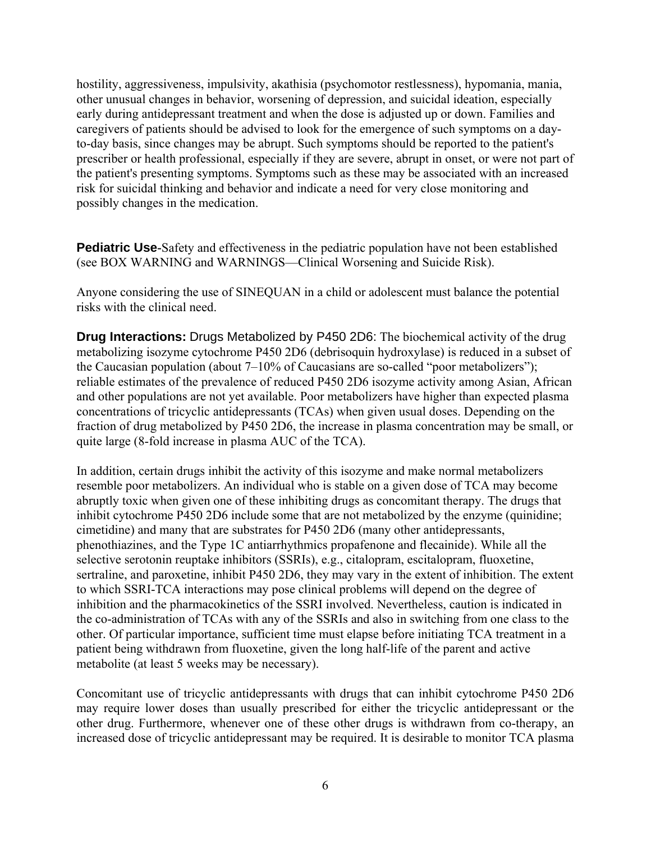hostility, aggressiveness, impulsivity, akathisia (psychomotor restlessness), hypomania, mania, other unusual changes in behavior, worsening of depression, and suicidal ideation, especially early during antidepressant treatment and when the dose is adjusted up or down. Families and caregivers of patients should be advised to look for the emergence of such symptoms on a dayto-day basis, since changes may be abrupt. Such symptoms should be reported to the patient's prescriber or health professional, especially if they are severe, abrupt in onset, or were not part of the patient's presenting symptoms. Symptoms such as these may be associated with an increased risk for suicidal thinking and behavior and indicate a need for very close monitoring and possibly changes in the medication.

**Pediatric Use-**Safety and effectiveness in the pediatric population have not been established (see BOX WARNING and WARNINGS—Clinical Worsening and Suicide Risk).

Anyone considering the use of SINEQUAN in a child or adolescent must balance the potential risks with the clinical need.

**Drug Interactions:** Drugs Metabolized by P450 2D6: The biochemical activity of the drug metabolizing isozyme cytochrome P450 2D6 (debrisoquin hydroxylase) is reduced in a subset of the Caucasian population (about 7–10% of Caucasians are so-called "poor metabolizers"); reliable estimates of the prevalence of reduced P450 2D6 isozyme activity among Asian, African and other populations are not yet available. Poor metabolizers have higher than expected plasma concentrations of tricyclic antidepressants (TCAs) when given usual doses. Depending on the fraction of drug metabolized by P450 2D6, the increase in plasma concentration may be small, or quite large (8-fold increase in plasma AUC of the TCA).

In addition, certain drugs inhibit the activity of this isozyme and make normal metabolizers resemble poor metabolizers. An individual who is stable on a given dose of TCA may become abruptly toxic when given one of these inhibiting drugs as concomitant therapy. The drugs that inhibit cytochrome P450 2D6 include some that are not metabolized by the enzyme (quinidine; cimetidine) and many that are substrates for P450 2D6 (many other antidepressants, phenothiazines, and the Type 1C antiarrhythmics propafenone and flecainide). While all the selective serotonin reuptake inhibitors (SSRIs), e.g., citalopram, escitalopram, fluoxetine, sertraline, and paroxetine, inhibit P450 2D6, they may vary in the extent of inhibition. The extent to which SSRI-TCA interactions may pose clinical problems will depend on the degree of inhibition and the pharmacokinetics of the SSRI involved. Nevertheless, caution is indicated in the co-administration of TCAs with any of the SSRIs and also in switching from one class to the other. Of particular importance, sufficient time must elapse before initiating TCA treatment in a patient being withdrawn from fluoxetine, given the long half-life of the parent and active metabolite (at least 5 weeks may be necessary).

Concomitant use of tricyclic antidepressants with drugs that can inhibit cytochrome P450 2D6 may require lower doses than usually prescribed for either the tricyclic antidepressant or the other drug. Furthermore, whenever one of these other drugs is withdrawn from co-therapy, an increased dose of tricyclic antidepressant may be required. It is desirable to monitor TCA plasma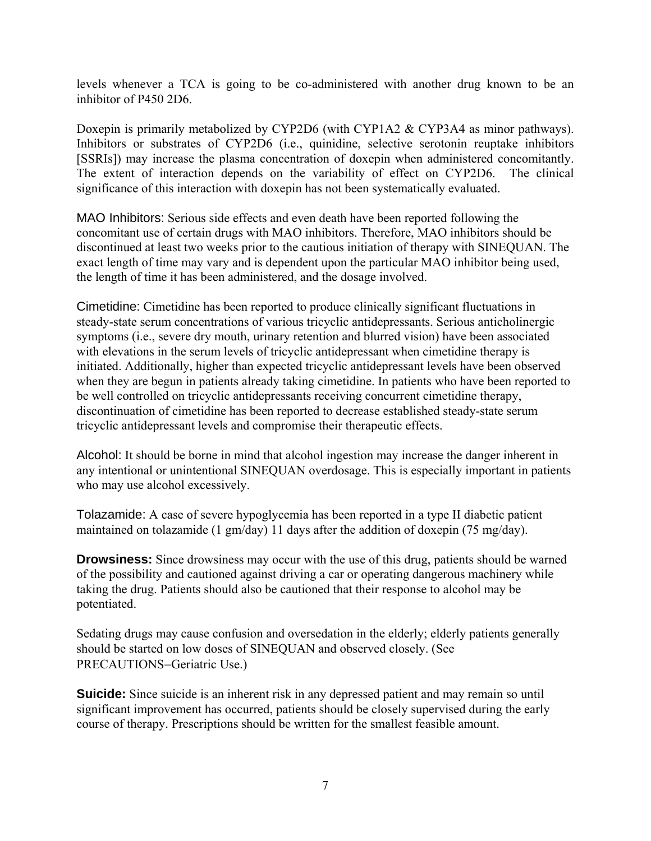levels whenever a TCA is going to be co-administered with another drug known to be an inhibitor of P450 2D6.

Doxepin is primarily metabolized by CYP2D6 (with CYP1A2 & CYP3A4 as minor pathways). Inhibitors or substrates of CYP2D6 (i.e., quinidine, selective serotonin reuptake inhibitors [SSRIs]) may increase the plasma concentration of doxepin when administered concomitantly. The extent of interaction depends on the variability of effect on CYP2D6. The clinical significance of this interaction with doxepin has not been systematically evaluated.

MAO Inhibitors: Serious side effects and even death have been reported following the concomitant use of certain drugs with MAO inhibitors. Therefore, MAO inhibitors should be discontinued at least two weeks prior to the cautious initiation of therapy with SINEQUAN. The exact length of time may vary and is dependent upon the particular MAO inhibitor being used, the length of time it has been administered, and the dosage involved.

Cimetidine: Cimetidine has been reported to produce clinically significant fluctuations in steady-state serum concentrations of various tricyclic antidepressants. Serious anticholinergic symptoms (i.e., severe dry mouth, urinary retention and blurred vision) have been associated with elevations in the serum levels of tricyclic antidepressant when cimetidine therapy is initiated. Additionally, higher than expected tricyclic antidepressant levels have been observed when they are begun in patients already taking cimetidine. In patients who have been reported to be well controlled on tricyclic antidepressants receiving concurrent cimetidine therapy, discontinuation of cimetidine has been reported to decrease established steady-state serum tricyclic antidepressant levels and compromise their therapeutic effects.

Alcohol: It should be borne in mind that alcohol ingestion may increase the danger inherent in any intentional or unintentional SINEQUAN overdosage. This is especially important in patients who may use alcohol excessively.

Tolazamide: A case of severe hypoglycemia has been reported in a type II diabetic patient maintained on tolazamide (1 gm/day) 11 days after the addition of doxepin (75 mg/day).

**Drowsiness:** Since drowsiness may occur with the use of this drug, patients should be warned of the possibility and cautioned against driving a car or operating dangerous machinery while taking the drug. Patients should also be cautioned that their response to alcohol may be potentiated.

Sedating drugs may cause confusion and oversedation in the elderly; elderly patients generally should be started on low doses of SINEQUAN and observed closely. (See PRECAUTIONS−Geriatric Use.)

**Suicide:** Since suicide is an inherent risk in any depressed patient and may remain so until significant improvement has occurred, patients should be closely supervised during the early course of therapy. Prescriptions should be written for the smallest feasible amount.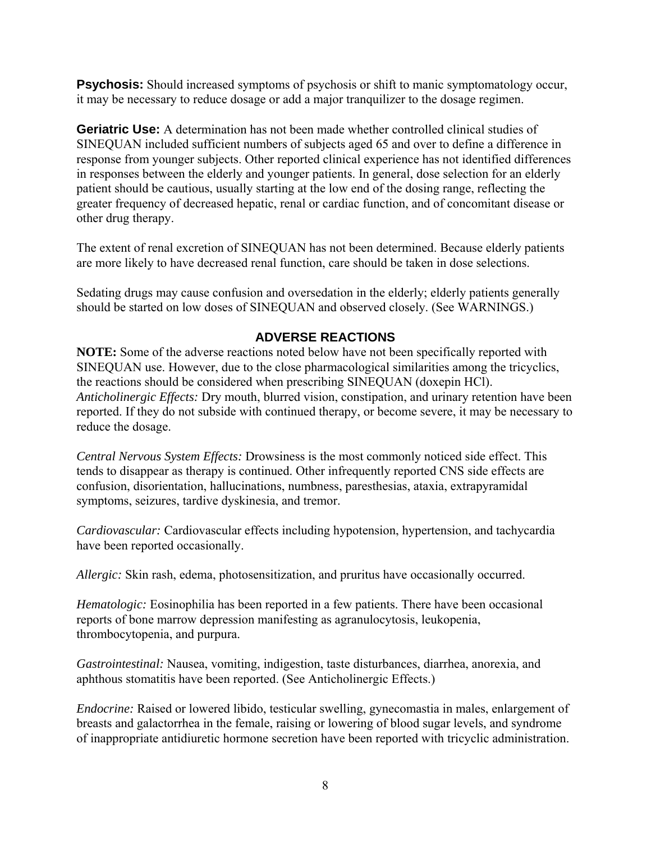**Psychosis:** Should increased symptoms of psychosis or shift to manic symptomatology occur, it may be necessary to reduce dosage or add a major tranquilizer to the dosage regimen.

**Geriatric Use:** A determination has not been made whether controlled clinical studies of SINEQUAN included sufficient numbers of subjects aged 65 and over to define a difference in response from younger subjects. Other reported clinical experience has not identified differences in responses between the elderly and younger patients. In general, dose selection for an elderly patient should be cautious, usually starting at the low end of the dosing range, reflecting the greater frequency of decreased hepatic, renal or cardiac function, and of concomitant disease or other drug therapy.

The extent of renal excretion of SINEQUAN has not been determined. Because elderly patients are more likely to have decreased renal function, care should be taken in dose selections.

Sedating drugs may cause confusion and oversedation in the elderly; elderly patients generally should be started on low doses of SINEQUAN and observed closely. (See WARNINGS.)

# **ADVERSE REACTIONS**

**NOTE:** Some of the adverse reactions noted below have not been specifically reported with SINEQUAN use. However, due to the close pharmacological similarities among the tricyclics, the reactions should be considered when prescribing SINEQUAN (doxepin HCl). *Anticholinergic Effects:* Dry mouth, blurred vision, constipation, and urinary retention have been reported. If they do not subside with continued therapy, or become severe, it may be necessary to reduce the dosage.

*Central Nervous System Effects:* Drowsiness is the most commonly noticed side effect. This tends to disappear as therapy is continued. Other infrequently reported CNS side effects are confusion, disorientation, hallucinations, numbness, paresthesias, ataxia, extrapyramidal symptoms, seizures, tardive dyskinesia, and tremor.

*Cardiovascular:* Cardiovascular effects including hypotension, hypertension, and tachycardia have been reported occasionally.

*Allergic:* Skin rash, edema, photosensitization, and pruritus have occasionally occurred.

*Hematologic:* Eosinophilia has been reported in a few patients. There have been occasional reports of bone marrow depression manifesting as agranulocytosis, leukopenia, thrombocytopenia, and purpura.

*Gastrointestinal:* Nausea, vomiting, indigestion, taste disturbances, diarrhea, anorexia, and aphthous stomatitis have been reported. (See Anticholinergic Effects.)

*Endocrine:* Raised or lowered libido, testicular swelling, gynecomastia in males, enlargement of breasts and galactorrhea in the female, raising or lowering of blood sugar levels, and syndrome of inappropriate antidiuretic hormone secretion have been reported with tricyclic administration.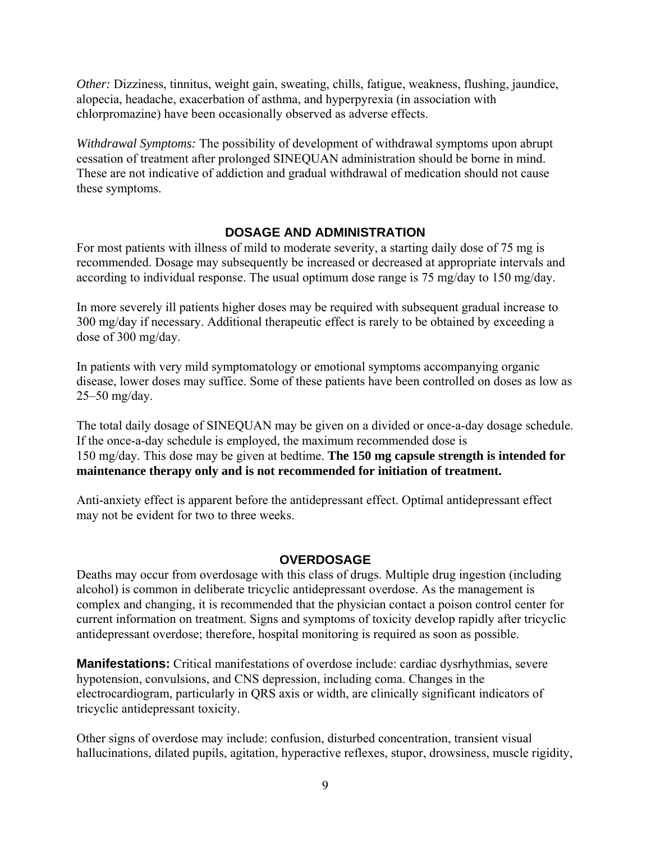*Other:* Dizziness, tinnitus, weight gain, sweating, chills, fatigue, weakness, flushing, jaundice, alopecia, headache, exacerbation of asthma, and hyperpyrexia (in association with chlorpromazine) have been occasionally observed as adverse effects.

*Withdrawal Symptoms:* The possibility of development of withdrawal symptoms upon abrupt cessation of treatment after prolonged SINEQUAN administration should be borne in mind. These are not indicative of addiction and gradual withdrawal of medication should not cause these symptoms.

## **DOSAGE AND ADMINISTRATION**

For most patients with illness of mild to moderate severity, a starting daily dose of 75 mg is recommended. Dosage may subsequently be increased or decreased at appropriate intervals and according to individual response. The usual optimum dose range is 75 mg/day to 150 mg/day.

In more severely ill patients higher doses may be required with subsequent gradual increase to 300 mg/day if necessary. Additional therapeutic effect is rarely to be obtained by exceeding a dose of 300 mg/day.

In patients with very mild symptomatology or emotional symptoms accompanying organic disease, lower doses may suffice. Some of these patients have been controlled on doses as low as 25–50 mg/day.

The total daily dosage of SINEQUAN may be given on a divided or once-a-day dosage schedule. If the once-a-day schedule is employed, the maximum recommended dose is 150 mg/day. This dose may be given at bedtime. **The 150 mg capsule strength is intended for maintenance therapy only and is not recommended for initiation of treatment.**

Anti-anxiety effect is apparent before the antidepressant effect. Optimal antidepressant effect may not be evident for two to three weeks.

# **OVERDOSAGE**

Deaths may occur from overdosage with this class of drugs. Multiple drug ingestion (including alcohol) is common in deliberate tricyclic antidepressant overdose. As the management is complex and changing, it is recommended that the physician contact a poison control center for current information on treatment. Signs and symptoms of toxicity develop rapidly after tricyclic antidepressant overdose; therefore, hospital monitoring is required as soon as possible.

**Manifestations:** Critical manifestations of overdose include: cardiac dysrhythmias, severe hypotension, convulsions, and CNS depression, including coma. Changes in the electrocardiogram, particularly in QRS axis or width, are clinically significant indicators of tricyclic antidepressant toxicity.

Other signs of overdose may include: confusion, disturbed concentration, transient visual hallucinations, dilated pupils, agitation, hyperactive reflexes, stupor, drowsiness, muscle rigidity,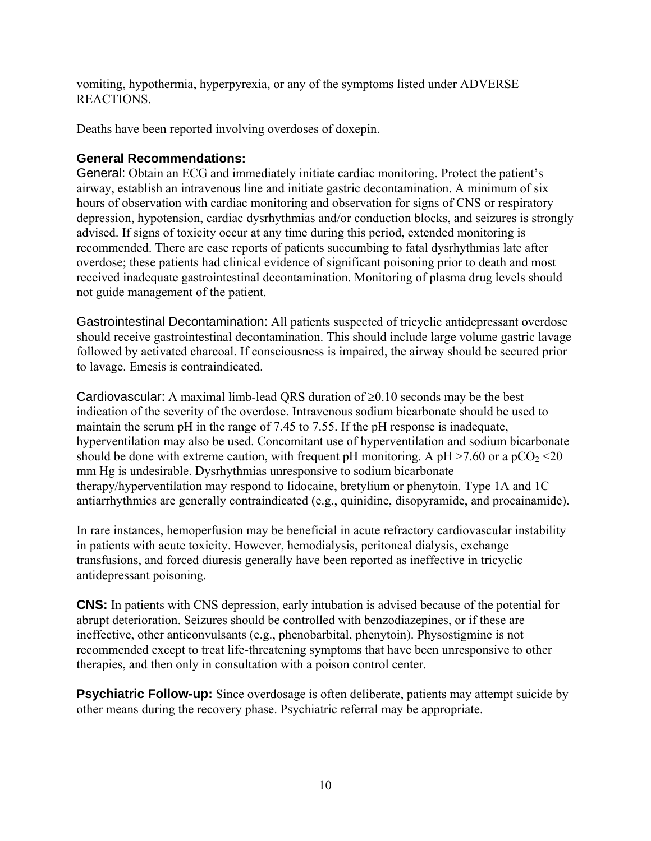vomiting, hypothermia, hyperpyrexia, or any of the symptoms listed under ADVERSE REACTIONS.

Deaths have been reported involving overdoses of doxepin.

## **General Recommendations:**

General: Obtain an ECG and immediately initiate cardiac monitoring. Protect the patient's airway, establish an intravenous line and initiate gastric decontamination. A minimum of six hours of observation with cardiac monitoring and observation for signs of CNS or respiratory depression, hypotension, cardiac dysrhythmias and/or conduction blocks, and seizures is strongly advised. If signs of toxicity occur at any time during this period, extended monitoring is recommended. There are case reports of patients succumbing to fatal dysrhythmias late after overdose; these patients had clinical evidence of significant poisoning prior to death and most received inadequate gastrointestinal decontamination. Monitoring of plasma drug levels should not guide management of the patient.

Gastrointestinal Decontamination: All patients suspected of tricyclic antidepressant overdose should receive gastrointestinal decontamination. This should include large volume gastric lavage followed by activated charcoal. If consciousness is impaired, the airway should be secured prior to lavage. Emesis is contraindicated.

Cardiovascular: A maximal limb-lead QRS duration of  $\geq 0.10$  seconds may be the best indication of the severity of the overdose. Intravenous sodium bicarbonate should be used to maintain the serum pH in the range of 7.45 to 7.55. If the pH response is inadequate, hyperventilation may also be used. Concomitant use of hyperventilation and sodium bicarbonate should be done with extreme caution, with frequent pH monitoring. A pH  $>7.60$  or a pCO<sub>2</sub>  $\leq$ 20 mm Hg is undesirable. Dysrhythmias unresponsive to sodium bicarbonate therapy/hyperventilation may respond to lidocaine, bretylium or phenytoin. Type 1A and 1C antiarrhythmics are generally contraindicated (e.g., quinidine, disopyramide, and procainamide).

In rare instances, hemoperfusion may be beneficial in acute refractory cardiovascular instability in patients with acute toxicity. However, hemodialysis, peritoneal dialysis, exchange transfusions, and forced diuresis generally have been reported as ineffective in tricyclic antidepressant poisoning.

**CNS:** In patients with CNS depression, early intubation is advised because of the potential for abrupt deterioration. Seizures should be controlled with benzodiazepines, or if these are ineffective, other anticonvulsants (e.g., phenobarbital, phenytoin). Physostigmine is not recommended except to treat life-threatening symptoms that have been unresponsive to other therapies, and then only in consultation with a poison control center.

**Psychiatric Follow-up:** Since overdosage is often deliberate, patients may attempt suicide by other means during the recovery phase. Psychiatric referral may be appropriate.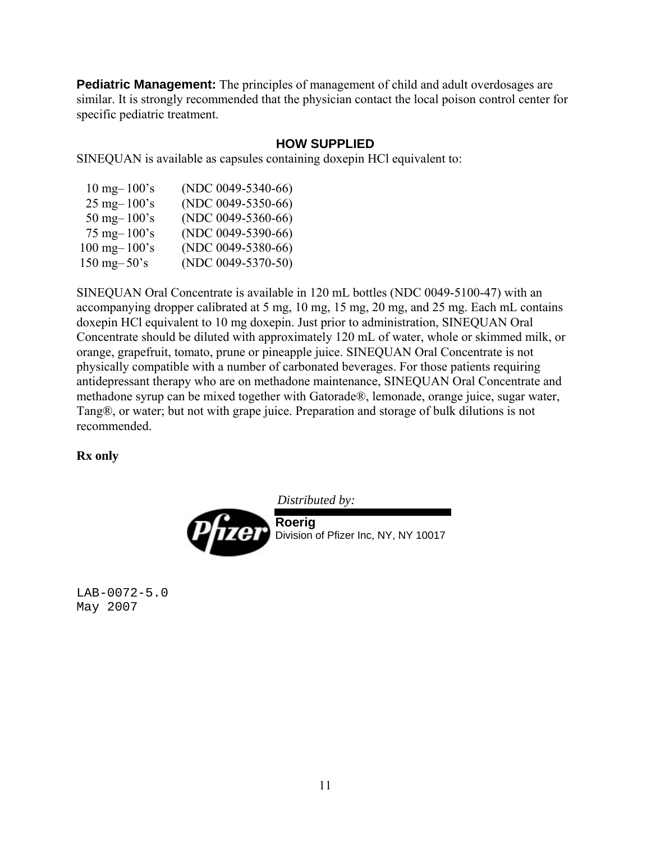**Pediatric Management:** The principles of management of child and adult overdosages are similar. It is strongly recommended that the physician contact the local poison control center for specific pediatric treatment.

# **HOW SUPPLIED**

SINEQUAN is available as capsules containing doxepin HCl equivalent to:

| $10 \text{ mg} - 100$ 's         | (NDC $0049-5340-66$ ) |
|----------------------------------|-----------------------|
| $25 \text{ mg} - 100 \text{ s}$  | (NDC 0049-5350-66)    |
| 50 mg – $100$ 's                 | (NDC 0049-5360-66)    |
| $75 \text{ mg} - 100 \text{ s}$  | (NDC $0049-5390-66$ ) |
| $100 \text{ mg} - 100 \text{ s}$ | (NDC $0049-5380-66$ ) |
| $150 \text{ mg} - 50 \text{°s}$  | (NDC $0049-5370-50$ ) |

SINEQUAN Oral Concentrate is available in 120 mL bottles (NDC 0049-5100-47) with an accompanying dropper calibrated at 5 mg, 10 mg, 15 mg, 20 mg, and 25 mg. Each mL contains doxepin HCl equivalent to 10 mg doxepin. Just prior to administration, SINEQUAN Oral Concentrate should be diluted with approximately 120 mL of water, whole or skimmed milk, or orange, grapefruit, tomato, prune or pineapple juice. SINEQUAN Oral Concentrate is not physically compatible with a number of carbonated beverages. For those patients requiring antidepressant therapy who are on methadone maintenance, SINEQUAN Oral Concentrate and methadone syrup can be mixed together with Gatorade®, lemonade, orange juice, sugar water, Tang®, or water; but not with grape juice. Preparation and storage of bulk dilutions is not recommended.

## **Rx only**

*Distributed by:* 



LAB-0072-5.0 May 2007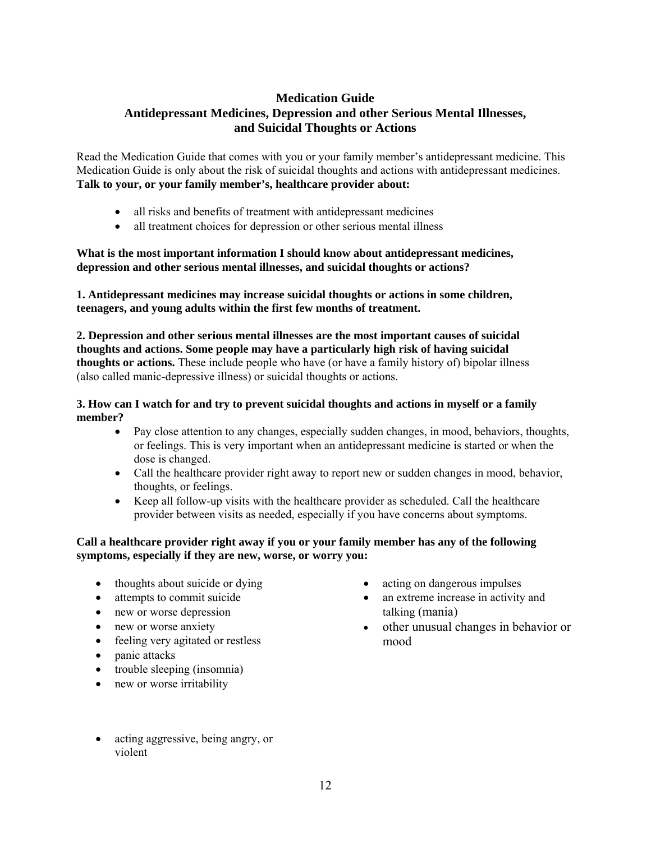# **Medication Guide Antidepressant Medicines, Depression and other Serious Mental Illnesses, and Suicidal Thoughts or Actions**

Read the Medication Guide that comes with you or your family member's antidepressant medicine. This Medication Guide is only about the risk of suicidal thoughts and actions with antidepressant medicines. **Talk to your, or your family member's, healthcare provider about:** 

- all risks and benefits of treatment with antidepressant medicines
- all treatment choices for depression or other serious mental illness

**What is the most important information I should know about antidepressant medicines, depression and other serious mental illnesses, and suicidal thoughts or actions?** 

**1. Antidepressant medicines may increase suicidal thoughts or actions in some children, teenagers, and young adults within the first few months of treatment.** 

**2. Depression and other serious mental illnesses are the most important causes of suicidal thoughts and actions. Some people may have a particularly high risk of having suicidal thoughts or actions.** These include people who have (or have a family history of) bipolar illness (also called manic-depressive illness) or suicidal thoughts or actions.

#### **3. How can I watch for and try to prevent suicidal thoughts and actions in myself or a family member?**

- Pay close attention to any changes, especially sudden changes, in mood, behaviors, thoughts, or feelings. This is very important when an antidepressant medicine is started or when the dose is changed.
- Call the healthcare provider right away to report new or sudden changes in mood, behavior, thoughts, or feelings.
- Keep all follow-up visits with the healthcare provider as scheduled. Call the healthcare provider between visits as needed, especially if you have concerns about symptoms.

#### **Call a healthcare provider right away if you or your family member has any of the following symptoms, especially if they are new, worse, or worry you:**

- thoughts about suicide or dying
- attempts to commit suicide
- new or worse depression
- new or worse anxiety
- feeling very agitated or restless
- panic attacks
- trouble sleeping (insomnia)
- new or worse irritability
- acting on dangerous impulses
- an extreme increase in activity and talking (mania)
- other unusual changes in behavior or mood

• acting aggressive, being angry, or violent